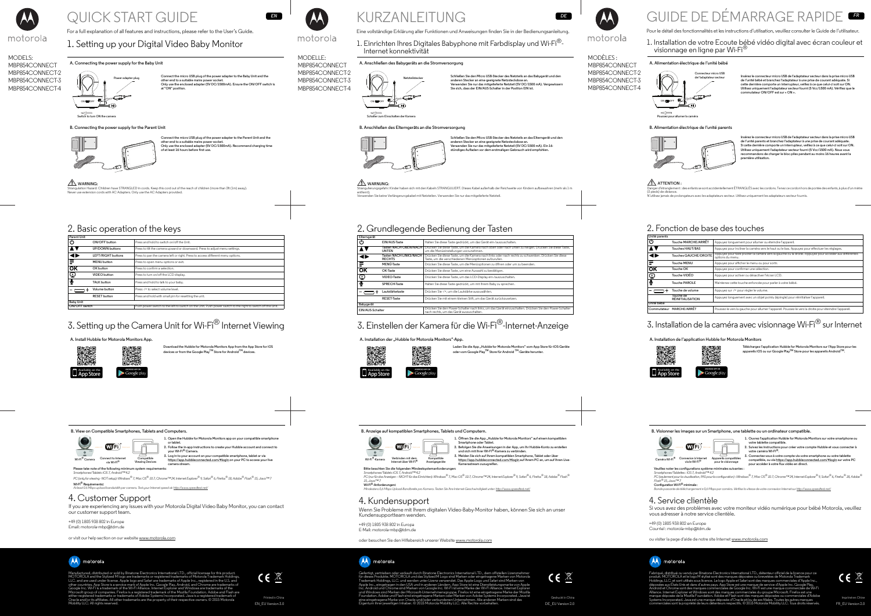MODELS: MBP854CONNECT MBP854CONNECT-2 MBP854CONNECT-3 MBP854CONNECT-4



# QUICK START GUIDE

For a full explanation of all features and instructions, please refer to the User's Guide.

# 1. Setting up your Digital Video Baby Monitor

**Connect the micro USB plug of the power adapter to the Baby Unit and the other end to a suitable mains power socket. Only use the enclosed adapter (5V DC/1500mA). Ensure the ON/OFF switch is at "ON" position.**



#### **A. Connecting the power supply for the Baby Unit**

**Connect the micro USB plug of the power adapter to the Parent Unit and the other end to a suitable mains power socket. Only use the enclosed adapter (5V DC/1500mA). Recommend charging time of at least 16 hours before first use.**

**B. Connecting the power supply for the Parent Unit**



#### **WARNING:**

Strangulation Hazard: Children have STRANGLED in cords. Keep this cord out of the reach of children (more than 3ft (1m) away). Never use extension cords with AC Adapters. Only use the AC Adapters provided.

*EN*



**Download the Hubble for Motorola Monitors App from the App Store for iOS devices or from the Google PlayTM Store for AndroidTM devices.**

**A. Install Hubble for Motorola Monitors App.**



## 2. Basic operation of the keys

| <b>Parent Unit</b> |                     |                                                                                                             |
|--------------------|---------------------|-------------------------------------------------------------------------------------------------------------|
| Ü                  | ON/OFF button       | Press and hold to switch on/off the Unit.                                                                   |
|                    | UP/DOWN buttons     | Press to tilt the camera upward or downward. Press to adjust menu settings.                                 |
|                    | LEFT/RIGHT buttons  | Press to pan the camera left or right. Press to access different menu options.                              |
| Ξ                  | <b>MENU</b> button  | Press to open menu options or exit.                                                                         |
| <b>OK</b>          | OK button           | Press to confirm a selection.                                                                               |
| ்                  | VIDEO button        | Press to turn on/off the LCD display.                                                                       |
| ⊻ٍ                 | TALK button         | Press and hold to talk to your baby.                                                                        |
|                    | Volume button       | Press -/+ to select volume level.                                                                           |
|                    | <b>RESET</b> button | Press and hold with small pin for resetting the unit.                                                       |
| <b>Baby Unit</b>   |                     |                                                                                                             |
| ON/OFF switch      |                     | Push power switch to the left to switch on the Unit. Push power switch to the right to switch off the Unit. |

# 3. Setting up the Camera Unit for Wi-Fi<sup>®</sup> Internet Viewing

# 4. Customer Support

If you are experiencing any issues with your Motorola Digital Video Baby Monitor, you can contact our customer support team.

# 1. Einrichten Ihres Digitales Babyphone mit Farbdisplay und Wi-Fi<sup>®</sup>-Internet konnektivität

#### +49 (0) 1805 938 802 in Europe

Email: motorola-mbp@tdm.de

or visit our help section on our website www.motorola.com

# A motorola

Laden Sie die App "Hubble for Motorola Monitors" vom App Store für iOS-Geräte **oder vom Google PlayTM Store für Android TM-Geräte herunter.**

Manufactured, distributed or sold by Binatone Electronics International LTD., official licensee for this product. MOTOROLA and the Stylized M logo are trademarks or registered trademarks of Motorola Trademark Holdings, LLC. and are used under license. Apple logo and Safari are trademarks of Apple Inc., registered in the U.S. and other countries. App Store is a service mark of Apple Inc. Google Play, Android, and Chrome are trademarks of Google Inc. Wi-Fi is a trademark of the Wi-Fi Alliance. Internet Explorer and Windows are trademarks of the Microsoft group of companies. Firefox is a registered trademark of the Mozilla Foundation. Adobe and Flash are either registered trademarks or trademarks of Adobe Systems Incorporated. Java is a registered trademark of Oracle and/or its affiliates. All other trademarks are the property of their respective owners. © 2015 Motorola Mobility LLC. All rights reserved.



Printed in China EN\_EU Version 3.0



**1. Open the Hubble for Motorola Monitors app on your compatible smartphone** 

- **or tablet. 2. Follow the in-app instructions to create your Hubble account and connect to**
- **your Wi-Fi® Camera. 3. Log in to your account on your compatible smartphone, tablet or via https://app.hubbleconnected.com/#login on your PC to access your live camera stream.**

#### **B. View on Compatible Smartphones, Tablets and Computers.**



#### **Please take note of the following minimum system requirements:** *Smartphones/Tablets: iOS 7, Android™ 4.2*

*PC (only for viewing - NOT setup): Windows® 7, Mac OS® 10.7, Chrome™ 24, Internet Explorer® 9, Safari® 6, Firefox® 18, Adobe® Flash® 15, Java™ 7* **Wi-Fi® Requirements:** 

1. Öffnen Sie die App "Hubble for Motorola Monitors" auf einem kompatiblen **Smartphone oder Tablet.**

#### *At least 0.6 Mbps upload bandwidth per camera. Test your Internet speed at: http://www.speedtest.net/*

MODELLE: MBP854CONNECT MBP854CONNECT-2 MBP854CONNECT-3 MBP854CONNECT-4

> https://app.hubbleconnected.com/#login auf Ihrem PC an, um auf Ihren Live-**Kamerastream zuzugreifen.**

# KURZANLEITUNG

Eine vollständige Erklärung aller Funktionen und Anweisungen finden Sie in der Bedienungsanleitung.

# motorola

**Schließen Sie den Micro USB-Stecker des Netzteils an das Babygerät und den anderen Stecker an eine geeignete Netzsteckdose an. Verwenden Sie nur das mitgelieferte Netzteil (5V DC/1500 mA). Vergewissern Sie sich, dass der EIN/AUS-Schalter in der Position EIN ist.**

#### 1. Installation de votre Ecoute bébé vidéo digital avec écran couleur et visionnage en ligne par Wi-Fi®



#### **A. Anschließen des Babygeräts an die Stromversorgung**

**Schließen Sie den Micro USB-Stecker des Netzteils an das Elterngerät und den anderen Stecker an eine geeignete Netzsteckdose an. Verwenden Sie nur das mitgelieferte Netzteil (5V DC/1500 mA). Ein 16 stündiges Aufladen vor dem erstmaligen Gebrauch wird empfohlen.**

**B. Anschließen des Elterngeräts an die Stromversorgung**



#### **WARNUNG:**

Strangulierungsgefahr: Kinder haben sich mit den Kabeln STRANGULIERT. Dieses Kabel außerhalb der Reichweite von Kindern aufbewahren (mehr als 1 m entfernt). Verwenden Sie keine Verlängerungskabel mit Netzteilen. Verwenden Sie nur das mitgelieferte Netzteil.

*DE*

# 3. Einstellen der Kamera für die Wi-Fi®-Internet-Anzeige

A. Installation der "Hubble for Motorola Monitors"-App.



# 2. Grundlegende Bedienung der Tasten

| Elterngerät   |                                         |                                                                                                                                                            |
|---------------|-----------------------------------------|------------------------------------------------------------------------------------------------------------------------------------------------------------|
| $\mathcal{C}$ | EIN/AUS-Taste                           | Halten Sie diese Taste gedrückt, um das Gerät ein-/auszuschalten.                                                                                          |
|               | Tasten NACH OBEN/NACH<br><b>UNTEN</b>   | Drücken Sie diese Taste, um die Kamera nach oben oder nach unten zu neigen. Drücken Sie diese Taste,<br>um die Menüeinstellungen vorzunehmen.              |
|               | Tasten NACH LINKS/NACH<br><b>RECHTS</b> | Drücken Sie diese Taste, um die Kamera nach links oder nach rechts zu schwenken. Drücken Sie diese<br>Taste, um die verschiedenen Menüoptionen aufzurufen. |
|               | MENÜ-Taste                              | Drücken Sie diese Taste, um die Menüoptionen zu öffnen oder um zu beenden.                                                                                 |
| ΟK            | OK-Taste                                | Drücken Sie diese Taste, um eine Auswahl zu bestätigen.                                                                                                    |
| Ć             | VIDEO-Taste                             | Drücken Sie diese Taste, um das LCD-Display ein-/auszuschalten.                                                                                            |
|               | <b>SPRECH-Taste</b>                     | Halten Sie diese Taste gedrückt, um mit Ihrem Baby zu sprechen.                                                                                            |
|               | Lautstärketaste                         | Drücken Sie -/+, um die Lautstärke auszuwählen.                                                                                                            |
|               | <b>RESET-Taste</b>                      | Drücken Sie mit einem kleinen Stift, um das Gerät zurückzusetzen.                                                                                          |
| Babygerät     |                                         |                                                                                                                                                            |

**EIN/AUS-Schalter** Drücken Sie den Power-Schalter nach links, um das Gerät einzuschalten. Drücken Sie den Power-Schalter nach rechts, um das Gerät auszuschalten.

## 4. Kundensupport

WijFi **via le Wi-Fi® Appareils compatibles** 

Wenn Sie Probleme mit Ihrem digitalen Video-Baby-Monitor haben, können Sie sich an unser Kundensupportteam wenden.

+49 (0) 1805 938 802 in Europa

E-Mail: motorola-mbp@tdm.de

oder besuchen Sie den Hilfebereich unserer Website www.motorola.com



Gefertigt, vertrieben oder verkauft durch Binatone Electronics International LTD., dem offiziellen Lizenznehmer für dieses Produkte. MOTOROLA und das Stylized M Logo sind Marken oder eingetragene Marken von Motorola Trademark Holdings, LLC. und werden unter Lizenz verwendet. Das Apple-Logo und Safari sind Marken von Apple Inc., eingetragen in den USA und in anderen Ländern. App Store ist eine Dienstleistungsmarke von Apple Inc. Android und Chrome sind Marken von Google Inc. Wi-Fi ist eine Marke der Wi-Fi Alliance. Internet Explorer und Windows sind Marken der Microsoft-Unternehmensgruppe. Firefox ist eine eingetragene Marke der Mozilla Foundation. Adobe und Flash sind eingetragene Marken oder Marken von Adobe Systems Incorporated. Java ist eine eingetragene Marke von Oracle und/oder verbundenen Unternehmen. Alle anderen Marken sind das Eigentum ihrer jeweiligen Inhaber. © 2015 Motorola Mobility LLC. Alle Rechte vorbehalten.



Gedruckt in China DE\_EU Version 2.0

**2. Befolgen Sie die Anweisungen in der App, um Ihr Hubble-Konto zu erstellen und sich mit Ihrer Wi-Fi®-Kamera zu verbinden. 3. Melden Sie sich auf Ihrem kompatiblen Smartphone, Tablet oder über** 

**B. Anzeige auf kompatiblen Smartphones, Tablets und Computern.**



#### **Bitte beachten Sie die folgenden Mindestsystemanforderungen:** *Smartphones/Tablets: iOS 7, Android™ 4.2*

*PC (nur für das Anzeigen – NICHT für das Einrichten): Windows® 7, Mac OS® 10.7, Chrome™ 24, Internet Explorer® 9, Safari® 6, Firefox® 18, Adobe® Flash® 15, Java™ 7* **Wi-Fi®-Anforderungen:** 

*Mindestens 0,6 Mbps Upload-Bandbreite pro Kamera. Testen Sie Ihre Internet-Geschwindigkeit unter: http://www.speedtest.net/*

MODÈLES :

#### MBP854CONNECT MBP854CONNECT-2 MBP854CONNECT-3 MBP854CONNECT-4

Pour le détail des fonctionnalités et les instructions d'utilisation, veuillez consulter le Guide de l'utilisateur.

**Insérez le connecteur micro USB de l'adaptateur secteur dans la prise micro USB de l'unité bébé et branchez l'adaptateur à une prise de courant adéquate. Si cette dernière comporte un interrupteur, veillez à ce que celui-ci soit sur ON. Utilisez uniquement l'adaptateur secteur fourni (5 Vcc/1500 mA). Vérifiez que le commutateur ON/OFF est sur « ON ».**



#### **A. Alimentation électrique de l'unité bébé**

**Poussez pour allumer la caméra**



# GUIDE DE DÉMARRAGE RAPIDE *FR*

**Insérez le connecteur micro USB de l'adaptateur secteur dans la prise micro USB de l'unité parents et branchez l'adaptateur à une prise de courant adéquate. Si cette dernière comporte un interrupteur, veillez à ce que celui-ci soit sur ON. Utilisez uniquement l'adaptateur secteur fourni (5 Vcc/1500 mA). Nous vous recommandons de charger le bloc-piles pendant au moins 16 heures avant la première utilisation.**

#### **ATTENTION**

**B. Alimentation électrique de l'unité parents**

Danger d'étranglement : des enfants se sont accidentellement ÉTRANGLÉS avec les cordons. Tenez ce cordon hors de portée des enfants, à plus d'un mètre (3 pieds) de distance. N'utilisez jamais de prolongateurs avec les adaptateurs secteur. Utilisez uniquement les adaptateurs secteur fournis.



**A. Installation de l'application Hubble for Motorola Monitors**



# 2. Fonction de base des touches

| Unité parents |                                      |                                                                                                                            |
|---------------|--------------------------------------|----------------------------------------------------------------------------------------------------------------------------|
| $\mathcal{C}$ | Touche MARCHE/ARRÊT                  | Appuyez lonquement pour allumer ou éteindre l'appareil.                                                                    |
|               | Touches HAUT/BAS                     | Appuyez pour incliner la caméra vers le haut ou le bas. Appuyez pour effectuer les réglages.                               |
|               | Touches GAUCHE/DROITE                | Appuyez pour faire pivoter la caméra vers la gauche ou la droite. Appuyez pour accéder aux différentes<br>options du menu. |
|               | <b>Touche MENU</b>                   | Appuyez pour afficher le menu ou pour sortir.                                                                              |
| OK            | Touche OK                            | Appuyez pour confirmer une sélection.                                                                                      |
| Ë             | Touche VIDÉO                         | Appuyez pour activer ou désactiver l'écran LCD.                                                                            |
| ⋓             | <b>Touche PAROLE</b>                 | Maintenez cette touche enfoncée pour parler à votre bébé.                                                                  |
|               | Touche de volume                     | Appuyez sur -/+ pour régler le volume.                                                                                     |
|               | Touche de<br><b>RÉINITIALISATION</b> | Appuyez lonquement avec un objet pointu (épingle) pour réinitialiser l'appareil.                                           |
| Unité bébé    |                                      |                                                                                                                            |
| Commutateur   | MARCHE/ARRET                         | Poussez-le vers la gauche pour allumer l'appareil. Poussez-le vers la droite pour éteindre l'appareil.                     |

# 3. Installation de la caméra avec visionnage Wi-Fi<sup>®</sup> sur Internet

#### 4. Service clientèle

Si vous avez des problèmes avec votre moniteur vidéo numérique pour bébé Motorola, veuillez vous adresser à notre service clientèle.

+49 (0) 1805 938 802 en Europe Courriel : motorola-mbp@tdm.de

ou visiter la page d'aide de notre site Internet www.motorola.com



 $\dot{\bullet}$ 

Fabriqué, distribué ou vendu par Binatone Electronics International LTD., détenteur officiel de la licence pour ce produit. MOTOROLA et le logo M stylisé sont des marques déposées ou brevetées de Motorola Trademark Holdings, LLC. et sont utilisés sous licence. Le logo Apple et Safari sont des marques commerciales d'Apple Inc., déposées aux États-Unis et dans d'autres pays. App Store est une marque de service d'Apple Inc. Google Play, Android et Chrome sont des marques commerciales de Google Inc. Wi-Fi est une marque commerciale de Wi-Fi Alliance. Internet Explorer et Windows sont des marques commerciales du groupe Microsoft. Firefox est une marque déposée de la Mozilla Foundation. Adobe et Flash sont des marques déposées ou commerciales d'Adobe Systems Incorporated. Java est une marque déposée d'Oracle et/ou de ses filiales. Toutes les autres marques commerciales sont la propriété de leurs détenteurs respectifs. © 2015 Motorola Mobility LLC. Tous droits réservés.



**1. Ouvrez l'application Hubble for Motorola Monitors sur votre smartphone ou votre tablette compatible. 2. Suivez les instructions pour créer votre compte Hubble et vous connecter à** 

**votre caméra Wi-Fi®.**

**3. Connectez-vous à votre compte via votre smartphone ou votre tablette compatible, ou via https://app.hubbleconnected.com/#login sur votre PC pour accéder à votre flux vidéo en direct.**

**B. Visionner les images sur un Smartphone, une tablette ou un ordinateur compatible.**

**Caméra Wi-Fi® Connexion à Internet pour le visionnage**

**Veuillez noter les configurations système minimales suivantes :** *Smartphones/Tablettes : iOS 7, Android™ 4.2* 

*PC (seulement pour la visualisation, PAS pour la configuration) : Windows® 7, Mac OS® 10.7, Chrome™ 24, Internet Explorer® 9, Safari® 6, Firefox® 18, Adobe® Flash® 15, Java™ 7* **Configuration Wi-Fi® minimale :** 

*Bande passante de téléchargement ≥ 0,6 Mbps par caméra. Vérifiez la vitesse de votre connexion Internet sur http://www.speedtest.net/*